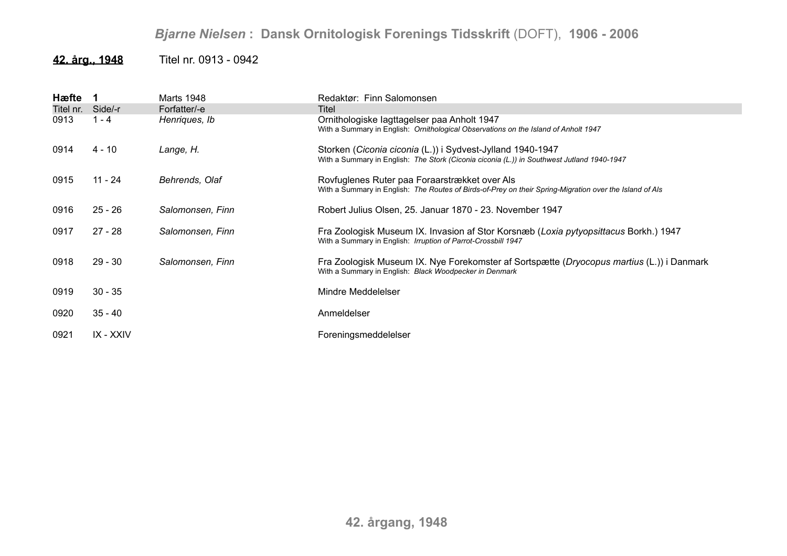## *Bjarne Nielsen* **: Dansk Ornitologisk Forenings Tidsskrift** (DOFT), **1906 - 2006**

## **42. årg., 1948** Titel nr. 0913 - 0942

| Hæfte     |           | Marts 1948       | Redaktør: Finn Salomonsen                                                                                                                                |
|-----------|-----------|------------------|----------------------------------------------------------------------------------------------------------------------------------------------------------|
| Titel nr. | Side/-r   | Forfatter/-e     | Titel                                                                                                                                                    |
| 0913      | 1 - 4     | Henriques, Ib    | Ornithologiske lagttagelser paa Anholt 1947<br>With a Summary in English: Ornithological Observations on the Island of Anholt 1947                       |
| 0914      | 4 - 10    | Lange, H.        | Storken (Ciconia ciconia (L.)) i Sydvest-Jylland 1940-1947<br>With a Summary in English: The Stork (Ciconia ciconia (L.)) in Southwest Jutland 1940-1947 |
| 0915      | 11 - 24   | Behrends, Olaf   | Rovfuglenes Ruter paa Foraarstrækket over Als<br>With a Summary in English: The Routes of Birds-of-Prey on their Spring-Migration over the Island of Als |
| 0916      | $25 - 26$ | Salomonsen, Finn | Robert Julius Olsen, 25. Januar 1870 - 23. November 1947                                                                                                 |
| 0917      | $27 - 28$ | Salomonsen, Finn | Fra Zoologisk Museum IX. Invasion af Stor Korsnæb (Loxia pytyopsittacus Borkh.) 1947<br>With a Summary in English: Irruption of Parrot-Crossbill 1947    |
| 0918      | $29 - 30$ | Salomonsen, Finn | Fra Zoologisk Museum IX. Nye Forekomster af Sortspætte (Dryocopus martius (L.)) i Danmark<br>With a Summary in English: Black Woodpecker in Denmark      |
| 0919      | $30 - 35$ |                  | Mindre Meddelelser                                                                                                                                       |
| 0920      | $35 - 40$ |                  | Anmeldelser                                                                                                                                              |
| 0921      | IX - XXIV |                  | Foreningsmeddelelser                                                                                                                                     |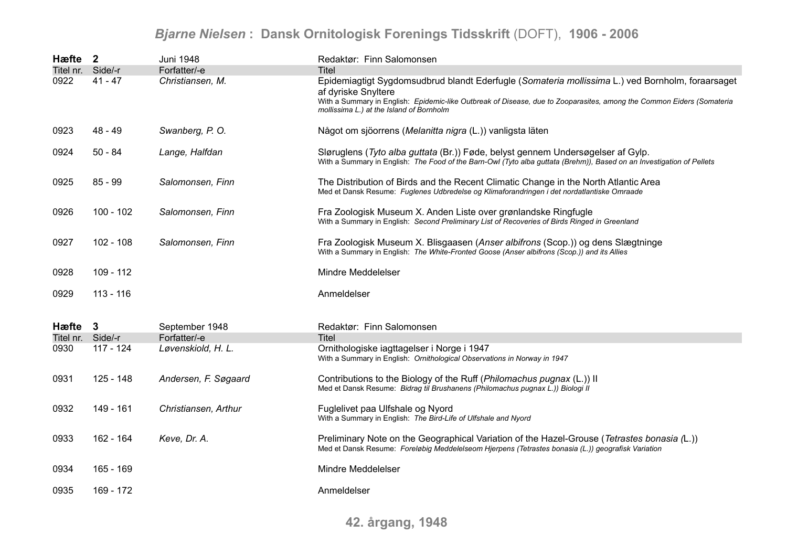## *Bjarne Nielsen* **: Dansk Ornitologisk Forenings Tidsskrift** (DOFT), **1906 - 2006**

| Hæfte 2           |             | <b>Juni 1948</b>     | Redaktør: Finn Salomonsen                                                                                                                                                                                                                                                                    |
|-------------------|-------------|----------------------|----------------------------------------------------------------------------------------------------------------------------------------------------------------------------------------------------------------------------------------------------------------------------------------------|
| Titel nr. Side/-r |             | Forfatter/-e         | <b>Titel</b>                                                                                                                                                                                                                                                                                 |
| 0922              | $41 - 47$   | Christiansen, M.     | Epidemiagtigt Sygdomsudbrud blandt Ederfugle (Somateria mollissima L.) ved Bornholm, foraarsaget<br>af dyriske Snyltere<br>With a Summary in English: Epidemic-like Outbreak of Disease, due to Zooparasites, among the Common Eiders (Somateria<br>mollissima L.) at the Island of Bornholm |
| 0923              | 48 - 49     | Swanberg, P.O.       | Något om sjöorrens (Melanitta nigra (L.)) vanligsta läten                                                                                                                                                                                                                                    |
| 0924              | $50 - 84$   | Lange, Halfdan       | Sløruglens (Tyto alba guttata (Br.)) Føde, belyst gennem Undersøgelser af Gylp.<br>With a Summary in English: The Food of the Barn-Owl (Tyto alba guttata (Brehm)), Based on an Investigation of Pellets                                                                                     |
| 0925              | $85 - 99$   | Salomonsen, Finn     | The Distribution of Birds and the Recent Climatic Change in the North Atlantic Area<br>Med et Dansk Resume: Fuglenes Udbredelse og Klimaforandringen i det nordatlantiske Omraade                                                                                                            |
| 0926              | $100 - 102$ | Salomonsen, Finn     | Fra Zoologisk Museum X. Anden Liste over grønlandske Ringfugle<br>With a Summary in English: Second Preliminary List of Recoveries of Birds Ringed in Greenland                                                                                                                              |
| 0927              | $102 - 108$ | Salomonsen, Finn     | Fra Zoologisk Museum X. Blisgaasen (Anser albifrons (Scop.)) og dens Slægtninge<br>With a Summary in English: The White-Fronted Goose (Anser albifrons (Scop.)) and its Allies                                                                                                               |
| 0928              | 109 - 112   |                      | Mindre Meddelelser                                                                                                                                                                                                                                                                           |
| 0929              | $113 - 116$ |                      | Anmeldelser                                                                                                                                                                                                                                                                                  |
| Hæfte 3           |             | September 1948       | Redaktør: Finn Salomonsen                                                                                                                                                                                                                                                                    |
| Titel nr. Side/-r |             | Forfatter/-e         | <b>Titel</b>                                                                                                                                                                                                                                                                                 |
| 0930              | $117 - 124$ | Løvenskiold, H. L.   | Ornithologiske iagttagelser i Norge i 1947<br>With a Summary in English: Ornithological Observations in Norway in 1947                                                                                                                                                                       |
| 0931              | 125 - 148   | Andersen, F. Søgaard | Contributions to the Biology of the Ruff (Philomachus pugnax (L.)) II<br>Med et Dansk Resume: Bidrag til Brushanens (Philomachus pugnax L.)) Biologi II                                                                                                                                      |
| 0932              | 149 - 161   | Christiansen, Arthur | Fuglelivet paa Ulfshale og Nyord<br>With a Summary in English: The Bird-Life of Ulfshale and Nyord                                                                                                                                                                                           |
| 0933              | 162 - 164   | Keve, Dr. A.         | Preliminary Note on the Geographical Variation of the Hazel-Grouse (Tetrastes bonasia (L.))<br>Med et Dansk Resume: Foreløbig Meddelelseom Hjerpens (Tetrastes bonasia (L.)) geografisk Variation                                                                                            |
| 0934              | 165 - 169   |                      | Mindre Meddelelser                                                                                                                                                                                                                                                                           |
| 0935              | 169 - 172   |                      | Anmeldelser                                                                                                                                                                                                                                                                                  |